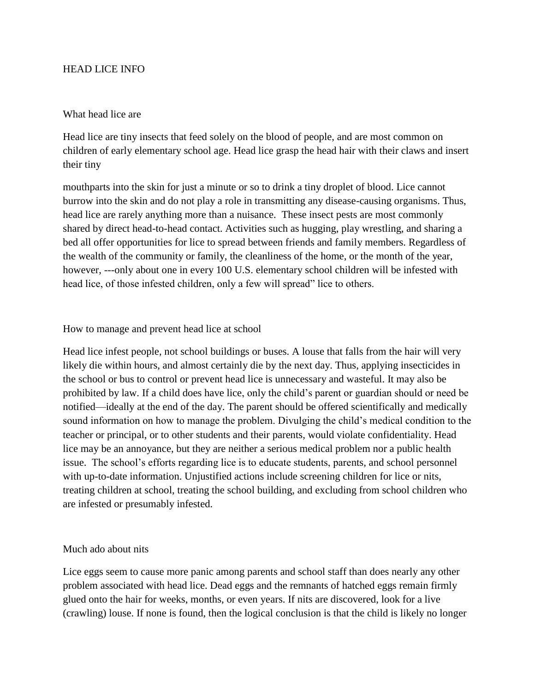## HEAD LICE INFO

## What head lice are

Head lice are tiny insects that feed solely on the blood of people, and are most common on children of early elementary school age. Head lice grasp the head hair with their claws and insert their tiny

mouthparts into the skin for just a minute or so to drink a tiny droplet of blood. Lice cannot burrow into the skin and do not play a role in transmitting any disease-causing organisms. Thus, head lice are rarely anything more than a nuisance. These insect pests are most commonly shared by direct head-to-head contact. Activities such as hugging, play wrestling, and sharing a bed all offer opportunities for lice to spread between friends and family members. Regardless of the wealth of the community or family, the cleanliness of the home, or the month of the year, however, ---only about one in every 100 U.S. elementary school children will be infested with head lice, of those infested children, only a few will spread" lice to others.

## How to manage and prevent head lice at school

Head lice infest people, not school buildings or buses. A louse that falls from the hair will very likely die within hours, and almost certainly die by the next day. Thus, applying insecticides in the school or bus to control or prevent head lice is unnecessary and wasteful. It may also be prohibited by law. If a child does have lice, only the child's parent or guardian should or need be notified—ideally at the end of the day. The parent should be offered scientifically and medically sound information on how to manage the problem. Divulging the child's medical condition to the teacher or principal, or to other students and their parents, would violate confidentiality. Head lice may be an annoyance, but they are neither a serious medical problem nor a public health issue. The school's efforts regarding lice is to educate students, parents, and school personnel with up-to-date information. Unjustified actions include screening children for lice or nits, treating children at school, treating the school building, and excluding from school children who are infested or presumably infested.

## Much ado about nits

Lice eggs seem to cause more panic among parents and school staff than does nearly any other problem associated with head lice. Dead eggs and the remnants of hatched eggs remain firmly glued onto the hair for weeks, months, or even years. If nits are discovered, look for a live (crawling) louse. If none is found, then the logical conclusion is that the child is likely no longer